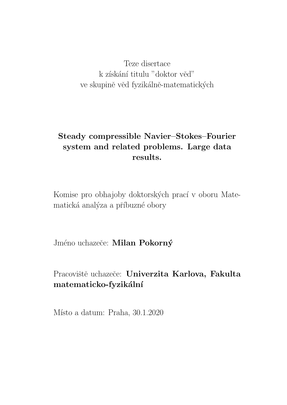Teze disertace k získání titulu "doktor věď" ve skupině věd fyzikálně-matematických

# **Steady compressible Navier–Stokes–Fourier system and related problems. Large data results.**

Komise pro obhajoby doktorských prací v oboru Matematická analýza a příbuzné obory

Jméno uchazeče: Milan Pokorný

Pracoviště uchazeče: **Univerzita Karlova, Fakulta matematicko-fyzik´aln´ı**

Místo a datum: Praha, 30.1.2020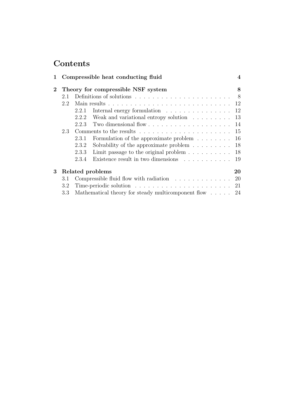# **Contents**

| 1           |                                    | Compressible heat conducting fluid                                               |                                                                            |     |
|-------------|------------------------------------|----------------------------------------------------------------------------------|----------------------------------------------------------------------------|-----|
| $2^{\circ}$ | Theory for compressible NSF system |                                                                                  |                                                                            | 8   |
|             | 2.1                                |                                                                                  |                                                                            | 8   |
|             | 2.2                                |                                                                                  |                                                                            |     |
|             |                                    | 2.2.1                                                                            | Internal energy formulation $\ldots \ldots \ldots \ldots \ldots 12$        |     |
|             |                                    |                                                                                  | 2.2.2 Weak and variational entropy solution                                | 13  |
|             |                                    | 2.2.3                                                                            | Two dimensional flow $\ldots \ldots \ldots \ldots \ldots \ldots \ldots 14$ |     |
|             | 2.3                                |                                                                                  |                                                                            |     |
|             |                                    | 2.3.1                                                                            | Formulation of the approximate problem $\ldots \ldots \ldots$ 16           |     |
|             |                                    | 2.3.2                                                                            | Solvability of the approximate problem $\ldots \ldots \ldots$ 18           |     |
|             |                                    | 2.3.3                                                                            | Limit passage to the original problem $\ldots \ldots \ldots \ldots$ 18     |     |
|             |                                    | 2.3.4                                                                            | Existence result in two dimensions                                         | -19 |
| 3           | Related problems<br>20             |                                                                                  |                                                                            |     |
|             | 3.1                                |                                                                                  | Compressible fluid flow with radiation $\ldots \ldots \ldots \ldots$ 20    |     |
|             | 3.2                                | Time-periodic solution $\ldots \ldots \ldots \ldots \ldots \ldots \ldots$<br>-21 |                                                                            |     |
|             | $3.3\,$                            |                                                                                  | Mathematical theory for steady multicomponent flow $\ldots$ . 24           |     |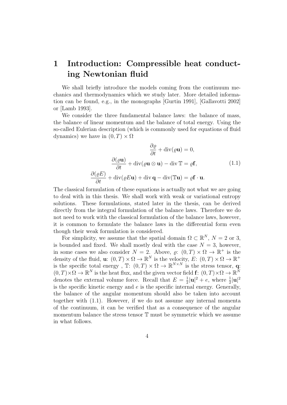# **1 Introduction: Compressible heat conducting Newtonian fluid**

We shall briefly introduce the models coming from the continuum mechanics and thermodynamics which we study later. More detailed information can be found, e.g., in the monographs [Gurtin 1991], [Gallavotti 2002] or [Lamb 1993].

We consider the three fundamental balance laws: the balance of mass, the balance of linear momentum and the balance of total energy. Using the so-called Eulerian description (which is commonly used for equations of fluid dynamics) we have in  $(0, T) \times \Omega$ 

$$
\frac{\partial \varrho}{\partial t} + \operatorname{div}(\varrho \mathbf{u}) = 0,
$$

$$
\frac{\partial (\varrho \mathbf{u})}{\partial t} + \operatorname{div}(\varrho \mathbf{u} \otimes \mathbf{u}) - \operatorname{div} \mathbb{T} = \varrho \mathbf{f}, \qquad (1.1)
$$

$$
\frac{\partial (\varrho E)}{\partial t} + \operatorname{div}(\varrho E \mathbf{u}) + \operatorname{div} \mathbf{q} - \operatorname{div}(\mathbb{T} \mathbf{u}) = \varrho \mathbf{f} \cdot \mathbf{u}.
$$

The classical formulation of these equations is actually not what we are going to deal with in this thesis. We shall work with weak or variational entropy solutions. These formulations, stated later in the thesis, can be derived directly from the integral formulation of the balance laws. Therefore we do not need to work with the classical formulation of the balance laws, however, it is common to formulate the balance laws in the differential form even though their weak formulation is considered.

For simplicity, we assume that the spatial domain  $\Omega \subset \mathbb{R}^N$ ,  $N = 2$  or 3, is bounded and fixed. We shall mostly deal with the case  $N = 3$ , however, in some cases we also consider  $N = 2$ . Above,  $\varrho: (0, T) \times \Omega \to \mathbb{R}^+$  is the density of the fluid, **u**:  $(0, T) \times \Omega \to \mathbb{R}^N$  is the velocity,  $E: (0, T) \times \Omega \to \mathbb{R}^+$ is the specific total energy,  $\mathbb{T}$ :  $(0, T) \times \Omega \to \mathbb{R}^{N \times N}$  is the stress tensor, **q**:  $(0, T) \times \Omega \to \mathbb{R}^N$  is the heat flux, and the given vector field **f**:  $(0, T) \times \Omega \to \mathbb{R}^N$ denotes the external volume force. Recall that  $E = \frac{1}{2}$  $\frac{1}{2}|\mathbf{u}|^2 + e$ , where  $\frac{1}{2}|\mathbf{u}|^2$ is the specific kinetic energy and *e* is the specific internal energy. Generally, the balance of the angular momentum should also be taken into account together with (1.1). However, if we do not assume any internal momenta of the continuum, it can be verified that as a consequence of the angular momentum balance the stress tensor T must be symmetric which we assume in what follows.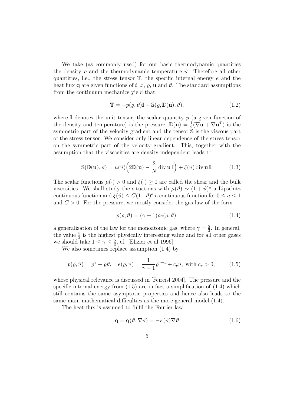We take (as commonly used) for our basic thermodynamic quantities the density  $\rho$  and the thermodynamic temperature  $\vartheta$ . Therefore all other quantities, i.e., the stress tensor T, the specific internal energy *e* and the heat flux **q** are given functions of *t*, *x*,  $\varrho$ , **u** and  $\vartheta$ . The standard assumptions from the continuum mechanics yield that

$$
\mathbb{T} = -p(\varrho, \vartheta)\mathbb{I} + \mathbb{S}(\varrho, \mathbb{D}(\mathbf{u}), \vartheta), \tag{1.2}
$$

where  $\mathbb{I}$  denotes the unit tensor, the scalar quantity  $p$  (a given function of the density and temperature) is the pressure,  $\mathbb{D}(\mathbf{u}) = \frac{1}{2}(\nabla \mathbf{u} + \nabla \mathbf{u}^T)$  is the symmetric part of the velocity gradient and the tensor S is the viscous part of the stress tensor. We consider only linear dependence of the stress tensor on the symmetric part of the velocity gradient. This, together with the assumption that the viscosities are density independent leads to

$$
\mathbb{S}(\mathbb{D}(\mathbf{u}), \vartheta) = \mu(\vartheta) \left( 2\mathbb{D}(\mathbf{u}) - \frac{2}{N} \operatorname{div} \mathbf{u} \mathbb{I} \right) + \xi(\vartheta) \operatorname{div} \mathbf{u} \mathbb{I}.
$$
 (1.3)

The scalar functions  $\mu(\cdot) > 0$  and  $\xi(\cdot) > 0$  are called the shear and the bulk viscosities. We shall study the situations with  $\mu(\vartheta) \sim (1 + \vartheta)^a$  a Lipschitz continuous function and  $\xi(\vartheta) \leq C(1+\vartheta)^a$  a continuous function for  $0 \leq a \leq 1$ and  $C > 0$ . For the pressure, we mostly consider the gas law of the form

$$
p(\varrho, \vartheta) = (\gamma - 1)\varrho e(\varrho, \vartheta), \tag{1.4}
$$

a generalization of the law for the monoatomic gas, where  $\gamma = \frac{5}{3}$  $\frac{5}{3}$ . In general, the value  $\frac{5}{3}$  is the highest physically interesting value and for all other gases we should take  $1 \leq \gamma \leq \frac{5}{3}$  $\frac{5}{3}$ , cf. [Elizier et al 1996].

We also sometimes replace assumption (1.4) by

$$
p(\varrho, \vartheta) = \varrho^{\gamma} + \varrho \vartheta, \quad e(\varrho, \vartheta) = \frac{1}{\gamma - 1} \varrho^{\gamma - 1} + c_v \vartheta, \text{ with } c_v > 0,
$$
 (1.5)

whose physical relevance is discussed in [Feireisl 2004]. The pressure and the specific internal energy from  $(1.5)$  are in fact a simplification of  $(1.4)$  which still contains the same asymptotic properties and hence also leads to the same main mathematical difficulties as the more general model (1.4).

The heat flux is assumed to fulfil the Fourier law

$$
\mathbf{q} = \mathbf{q}(\vartheta, \nabla \vartheta) = -\kappa(\vartheta) \nabla \vartheta \tag{1.6}
$$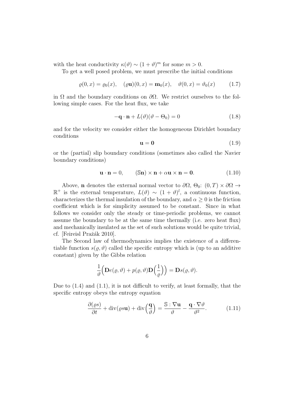with the heat conductivity  $\kappa(\vartheta) \sim (1 + \vartheta)^m$  for some  $m > 0$ .

To get a well posed problem, we must prescribe the initial conditions

$$
\varrho(0, x) = \varrho_0(x), \quad (\varrho \mathbf{u})(0, x) = \mathbf{m}_0(x), \quad \vartheta(0, x) = \vartheta_0(x)
$$
\n(1.7)

in Ω and the boundary conditions on *∂*Ω. We restrict ourselves to the following simple cases. For the heat flux, we take

$$
-\mathbf{q} \cdot \mathbf{n} + L(\vartheta)(\vartheta - \Theta_0) = 0 \tag{1.8}
$$

and for the velocity we consider either the homogeneous Dirichlet boundary conditions

$$
\mathbf{u} = \mathbf{0} \tag{1.9}
$$

or the (partial) slip boundary conditions (sometimes also called the Navier boundary conditions)

$$
\mathbf{u} \cdot \mathbf{n} = 0, \qquad (\mathbb{S}\mathbf{n}) \times \mathbf{n} + \alpha \mathbf{u} \times \mathbf{n} = \mathbf{0}. \tag{1.10}
$$

Above, **n** denotes the external normal vector to  $\partial\Omega$ ,  $\Theta_0$ :  $(0, T) \times \partial\Omega$  →  $\mathbb{R}^+$  is the external temperature,  $L(\vartheta) \sim (1 + \vartheta)^l$ , a continuous function, characterizes the thermal insulation of the boundary, and  $\alpha > 0$  is the friction coefficient which is for simplicity assumed to be constant. Since in what follows we consider only the steady or time-periodic problems, we cannot assume the boundary to be at the same time thermally (i.e. zero heat flux) and mechanically insulated as the set of such solutions would be quite trivial, cf. [Feireisl Pražák 2010].

The Second law of thermodynamics implies the existence of a differentiable function  $s(\varrho, \vartheta)$  called the specific entropy which is (up to an additive constant) given by the Gibbs relation

$$
\frac{1}{\vartheta}\Big(\mathbf{D}\mathbf{e}(\varrho,\vartheta)+p(\varrho,\vartheta)\mathbf{D}\Big(\frac{1}{\varrho}\Big)\Big)=\mathbf{D}\mathbf{s}(\varrho,\vartheta).
$$

Due to  $(1.4)$  and  $(1.1)$ , it is not difficult to verify, at least formally, that the specific entropy obeys the entropy equation

$$
\frac{\partial(\varrho s)}{\partial t} + \operatorname{div}(\varrho s \mathbf{u}) + \operatorname{div}\left(\frac{\mathbf{q}}{\vartheta}\right) = \frac{\mathbb{S} : \nabla \mathbf{u}}{\vartheta} - \frac{\mathbf{q} \cdot \nabla \vartheta}{\vartheta^2}.
$$
 (1.11)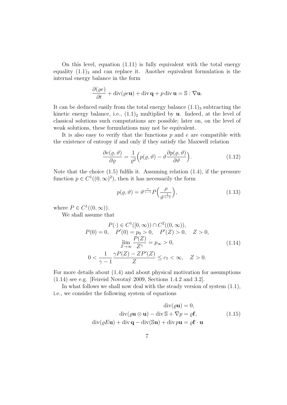On this level, equation (1.11) is fully equivalent with the total energy equality  $(1.1)$ <sub>3</sub> and can replace it. Another equivalent formulation is the internal energy balance in the form

$$
\frac{\partial(\varrho e)}{\partial t} + \operatorname{div}(\varrho e \mathbf{u}) + \operatorname{div} \mathbf{q} + p \operatorname{div} \mathbf{u} = \mathbb{S} : \nabla \mathbf{u}.
$$

It can be deduced easily from the total energy balance  $(1.1)_3$  subtracting the kinetic energy balance, i.e.,  $(1.1)$ <sub>2</sub> multiplied by **u**. Indeed, at the level of classical solutions such computations are possible; later on, on the level of weak solutions, these formulations may not be equivalent.

It is also easy to verify that the functions *p* and *e* are compatible with the existence of entropy if and only if they satisfy the Maxwell relation

$$
\frac{\partial e(\varrho, \vartheta)}{\partial \varrho} = \frac{1}{\varrho^2} \Big( p(\varrho, \vartheta) - \vartheta \frac{\partial p(\varrho, \vartheta)}{\partial \vartheta} \Big). \tag{1.12}
$$

Note that the choice (1.5) fulfils it. Assuming relation (1.4), if the pressure function  $p \in C^1((0,\infty)^2)$ , then it has necessarily the form

$$
p(\varrho, \vartheta) = \vartheta^{\frac{\gamma}{\gamma - 1}} P\left(\frac{\rho}{\vartheta^{\frac{1}{\gamma - 1}}}\right),\tag{1.13}
$$

where  $P \in C^1((0, \infty))$ .

We shall assume that

$$
P(0) = 0, \quad P'(0) \in C^{1}([0, \infty)) \cap C^{2}((0, \infty)),
$$
  
\n
$$
P(0) = 0, \quad P'(0) = p_{0} > 0, \quad P'(Z) > 0, \quad Z > 0,
$$
  
\n
$$
\lim_{Z \to \infty} \frac{P(Z)}{Z^{\gamma}} = p_{\infty} > 0,
$$
  
\n
$$
0 < \frac{1}{\gamma - 1} \frac{\gamma P(Z) - ZP'(Z)}{Z} \le c_{7} < \infty, \quad Z > 0.
$$
\n(1.14)

For more details about (1.4) and about physical motivation for assumptions  $(1.14)$  see e.g. [Feireisl Novotný 2009, Sections 1.4.2 and 3.2].

In what follows we shall now deal with the steady version of system (1.1), i.e., we consider the following system of equations

$$
\operatorname{div}(\varrho \mathbf{u}) = 0,
$$
  
\n
$$
\operatorname{div}(\varrho \mathbf{u} \otimes \mathbf{u}) - \operatorname{div} \mathbb{S} + \nabla p = \varrho \mathbf{f},
$$
\n
$$
\operatorname{div}(\varrho E \mathbf{u}) + \operatorname{div} \mathbf{q} - \operatorname{div}(\mathbb{S} \mathbf{u}) + \operatorname{div} p \mathbf{u} = \varrho \mathbf{f} \cdot \mathbf{u}
$$
\n(1.15)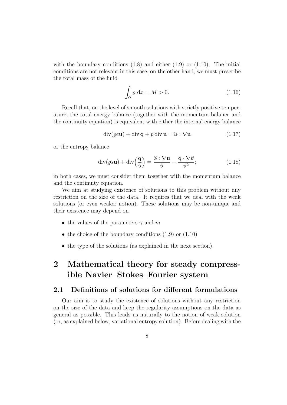with the boundary conditions  $(1.8)$  and either  $(1.9)$  or  $(1.10)$ . The initial conditions are not relevant in this case, on the other hand, we must prescribe the total mass of the fluid

$$
\int_{\Omega} \varrho \, \mathrm{d}x = M > 0. \tag{1.16}
$$

Recall that, on the level of smooth solutions with strictly positive temperature, the total energy balance (together with the momentum balance and the continuity equation) is equivalent with either the internal energy balance

$$
\operatorname{div}(\varrho e \mathbf{u}) + \operatorname{div} \mathbf{q} + p \operatorname{div} \mathbf{u} = \mathbb{S} : \nabla \mathbf{u}
$$
 (1.17)

or the entropy balance

$$
\operatorname{div}(\varrho s \mathbf{u}) + \operatorname{div}\left(\frac{\mathbf{q}}{\vartheta}\right) = \frac{\mathbb{S} : \nabla \mathbf{u}}{\vartheta} - \frac{\mathbf{q} \cdot \nabla \vartheta}{\vartheta^2};\tag{1.18}
$$

in both cases, we must consider them together with the momentum balance and the continuity equation.

We aim at studying existence of solutions to this problem without any restriction on the size of the data. It requires that we deal with the weak solutions (or even weaker notion). These solutions may be non-unique and their existence may depend on

- *•* the values of the parameters *γ* and *m*
- the choice of the boundary conditions  $(1.9)$  or  $(1.10)$
- the type of the solutions (as explained in the next section).

# **2 Mathematical theory for steady compressible Navier–Stokes–Fourier system**

### **2.1 Definitions of solutions for different formulations**

Our aim is to study the existence of solutions without any restriction on the size of the data and keep the regularity assumptions on the data as general as possible. This leads us naturally to the notion of weak solution (or, as explained below, variational entropy solution). Before dealing with the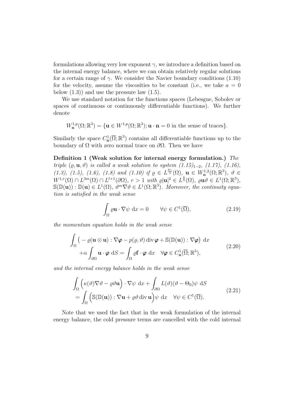formulations allowing very low exponent  $\gamma$ , we introduce a definition based on the internal energy balance, where we can obtain relatively regular solutions for a certain range of  $\gamma$ . We consider the Navier boundary conditions (1.10) for the velocity, assume the viscosities to be constant (i.e., we take  $a = 0$ below  $(1.3)$  and use the pressure law  $(1.5)$ .

We use standard notation for the functions spaces (Lebesgue, Sobolev or spaces of continuous or continuously differentiable functions). We further denote

$$
W_{\mathbf{n}}^{1,p}(\Omega;\mathbb{R}^3) = \{ \mathbf{u} \in W^{1,p}(\Omega;\mathbb{R}^3); \mathbf{u} \cdot \mathbf{n} = 0 \text{ in the sense of traces} \}.
$$

Similarly the space  $C^1_{\mathbf{n}}(\overline{\Omega}; \mathbb{R}^3)$  contains all differentiable functions up to the boundary of Ω with zero normal trace on *∂*Ω. Then we have

**Definition 1 (Weak solution for internal energy formulation.)** *The triple*  $(\varrho, \mathbf{u}, \vartheta)$  *is called a weak solution to system (1.15)*<sub>1−2</sub>*, (1.17), (1.16)*, *(1.3), (1.5), (1.6), (1.8)* and (1.10) if  $\rho \in L^{\frac{6\gamma}{5}}(\Omega)$ ,  $\mathbf{u} \in W^{1,2}_{\mathbf{n}}(\Omega;\mathbb{R}^3)$ ,  $\vartheta \in L^{\frac{6\gamma}{5}}(\Omega)$  $W^{1,r}(\Omega) \cap L^{3m}(\Omega) \cap L^{l+1}(\partial\Omega), r > 1$  with  $\varrho |\mathbf{u}|^2 \in L^{\frac{6}{5}}(\Omega), \varrho \mathbf{u} \vartheta \in L^1(\Omega;\mathbb{R}^3),$  $\mathbb{S}(\mathbb{D}(\mathbf{u})) : \mathbb{D}(\mathbf{u}) \in L^1(\Omega), \ \vartheta^m \nabla \vartheta \in L^1(\Omega; \mathbb{R}^3)$ *. Moreover, the continuity equation is satisfied in the weak sense*

$$
\int_{\Omega} \varrho \mathbf{u} \cdot \nabla \psi \, dx = 0 \qquad \forall \psi \in C^{1}(\overline{\Omega}), \tag{2.19}
$$

*the momentum equation holds in the weak sense*

$$
\int_{\Omega} \left( -\varrho(\mathbf{u} \otimes \mathbf{u}) : \nabla \varphi - p(\varrho, \vartheta) \operatorname{div} \varphi + \mathbb{S}(\mathbb{D}(\mathbf{u})) : \nabla \varphi \right) dx \n+ \alpha \int_{\partial \Omega} \mathbf{u} \cdot \varphi \, dS = \int_{\Omega} \varrho \mathbf{f} \cdot \varphi \, dx \quad \forall \varphi \in C_{\mathbf{n}}^{1}(\overline{\Omega}; \mathbb{R}^{3}),
$$
\n(2.20)

*and the internal energy balance holds in the weak sense*

$$
\int_{\Omega} \left( \kappa(\vartheta) \nabla \vartheta - \varrho \vartheta \mathbf{u} \right) \cdot \nabla \psi \, dx + \int_{\partial \Omega} L(\vartheta) (\vartheta - \Theta_0) \psi \, dS
$$
\n
$$
= \int_{\Omega} \left( \mathbb{S}(\mathbb{D}(\mathbf{u})) : \nabla \mathbf{u} + \varrho \vartheta \, \text{div } \mathbf{u} \right) \psi \, dx \quad \forall \psi \in C^1(\overline{\Omega}).
$$
\n(2.21)

Note that we used the fact that in the weak formulation of the internal energy balance, the cold pressure terms are cancelled with the cold internal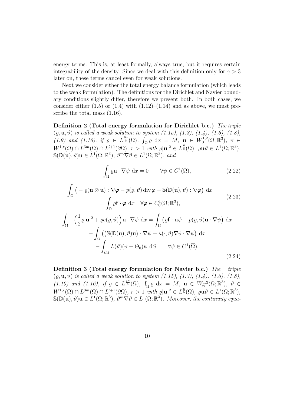energy terms. This is, at least formally, always true, but it requires certain integrability of the density. Since we deal with this definition only for  $\gamma > 3$ later on, these terms cancel even for weak solutions.

Next we consider either the total energy balance formulation (which leads to the weak formulation). The definitions for the Dirichlet and Navier boundary conditions slightly differ, therefore we present both. In both cases, we consider either  $(1.5)$  or  $(1.4)$  with  $(1.12)$ – $(1.14)$  and as above, we must prescribe the total mass (1.16).

**Definition 2 (Total energy formulation for Dirichlet b.c.)** *The triple*  $(\varrho, \mathbf{u}, \vartheta)$  *is called a weak solution to system (1.15), (1.3), (1.4), (1.6), (1.8), (1.9)* and *(1.16)*, if  $\varrho \in L^{\frac{6\gamma}{5}}(\Omega)$ ,  $\int_{\Omega} \varrho dx = M$ ,  $\mathbf{u} \in W_0^{1,2}$  $\mathcal{O}_0^{1,2}(\Omega;\mathbb{R}^3), \ \vartheta \in$  $W^{1,r}(\Omega) \cap L^{3m}(\Omega) \cap L^{l+1}(\partial\Omega), r > 1$  with  $\varrho |\mathbf{u}|^2 \in L^{\frac{6}{5}}(\Omega), \varrho \mathbf{u} \vartheta \in L^1(\Omega;\mathbb{R}^3),$  $\mathbb{S}(\mathbb{D}(\mathbf{u}), \vartheta)\mathbf{u} \in L^1(\Omega; \mathbb{R}^3), \ \vartheta^m \nabla \vartheta \in L^1(\Omega; \mathbb{R}^3), \ and$ 

$$
\int_{\Omega} \varrho \mathbf{u} \cdot \nabla \psi \, dx = 0 \qquad \forall \psi \in C^{1}(\overline{\Omega}), \tag{2.22}
$$

$$
\int_{\Omega} \left( -\varrho(\mathbf{u} \otimes \mathbf{u}) : \nabla \varphi - p(\varrho, \vartheta) \operatorname{div} \varphi + \mathbb{S}(\mathbb{D}(\mathbf{u}), \vartheta) : \nabla \varphi \right) dx
$$
\n
$$
= \int_{\Omega} \varrho \mathbf{f} \cdot \varphi \, dx \quad \forall \varphi \in C_{0}^{1}(\Omega; \mathbb{R}^{3}),
$$
\n
$$
\int_{\Omega} -\left( \frac{1}{2} \varrho |\mathbf{u}|^{2} + \varrho e(\varrho, \vartheta) \right) \mathbf{u} \cdot \nabla \psi \, dx = \int_{\Omega} \left( \varrho \mathbf{f} \cdot \mathbf{u} \psi + p(\varrho, \vartheta) \mathbf{u} \cdot \nabla \psi \right) dx
$$
\n
$$
- \int_{\Omega} \left( \left( \mathbb{S}(\mathbb{D}(\mathbf{u}), \vartheta) \mathbf{u} \right) \cdot \nabla \psi + \kappa(\cdot, \vartheta) \nabla \vartheta \cdot \nabla \psi \right) dx
$$
\n
$$
- \int_{\partial \Omega} L(\vartheta) (\vartheta - \Theta_{0}) \psi \, dS \qquad \forall \psi \in C^{1}(\overline{\Omega}).
$$
\n(2.24)

**Definition 3 (Total energy formulation for Navier b.c.)** *The triple*  $(\varrho, \mathbf{u}, \vartheta)$  *is called a weak solution to system (1.15), (1.3), (1.4), (1.6), (1.8), (1.10)* and *(1.16)*, if  $\varrho \in L^{\frac{6\gamma}{5}}(\Omega)$ ,  $\int_{\Omega} \varrho dx = M$ ,  $\mathbf{u} \in W^{1,2}_{\mathbf{n}}(\Omega;\mathbb{R}^3)$ ,  $\vartheta \in$  $W^{1,r}(\Omega) \cap L^{3m}(\Omega) \cap L^{l+1}(\partial\Omega), r > 1$  with  $\varrho |\mathbf{u}|^2 \in L^{\frac{6}{5}}(\Omega), \varrho \mathbf{u} \vartheta \in L^1(\Omega;\mathbb{R}^3),$  $\mathbb{S}(\mathbb{D}(\mathbf{u}), \vartheta)\mathbf{u} \in L^1(\Omega; \mathbb{R}^3), \ \vartheta^m \nabla \vartheta \in L^1(\Omega; \mathbb{R}^3)$ *. Moreover, the continuity equa-*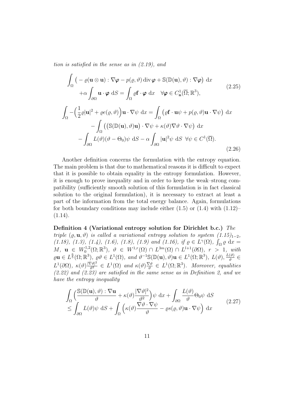*tion is satisfied in the sense as in (2.19), and*

$$
\int_{\Omega} \left( -\varrho(\mathbf{u} \otimes \mathbf{u}) : \nabla \varphi - p(\varrho, \vartheta) \operatorname{div} \varphi + \mathbb{S}(\mathbb{D}(\mathbf{u}), \vartheta) : \nabla \varphi \right) dx
$$
\n
$$
+ \alpha \int_{\partial \Omega} \mathbf{u} \cdot \varphi \, dS = \int_{\Omega} \varrho \mathbf{f} \cdot \varphi \, dx \quad \forall \varphi \in C_{\mathbf{n}}^{1}(\overline{\Omega}; \mathbb{R}^{3}),
$$
\n
$$
\int_{\Omega} - \left( \frac{1}{2} \varrho |\mathbf{u}|^{2} + \varrho e(\varrho, \vartheta) \right) \mathbf{u} \cdot \nabla \psi \, dx = \int_{\Omega} \left( \varrho \mathbf{f} \cdot \mathbf{u} \psi + p(\varrho, \vartheta) \mathbf{u} \cdot \nabla \psi \right) dx
$$
\n
$$
- \int_{\Omega} \left( (\mathbb{S}(\mathbb{D}(\mathbf{u}), \vartheta) \mathbf{u}) \cdot \nabla \psi + \kappa(\vartheta) \nabla \vartheta \cdot \nabla \psi \right) dx
$$
\n
$$
- \int_{\partial \Omega} L(\vartheta) (\vartheta - \Theta_{0}) \psi \, dS - \alpha \int_{\partial \Omega} |\mathbf{u}|^{2} \psi \, dS \ \forall \psi \in C^{1}(\overline{\Omega}).
$$
\n(2.26)

Another definition concerns the formulation with the entropy equation. The main problem is that due to mathematical reasons it is difficult to expect that it is possible to obtain equality in the entropy formulation. However, it is enough to prove inequality and in order to keep the weak–strong compatibility (sufficiently smooth solution of this formulation is in fact classical solution to the original formulation), it is necessary to extract at least a part of the information from the total energy balance. Again, formulations for both boundary conditions may include either  $(1.5)$  or  $(1.4)$  with  $(1.12)$ –  $(1.14).$ 

**Definition 4 (Variational entropy solution for Dirichlet b.c.)** *The triple*  $(\varrho, \mathbf{u}, \vartheta)$  *is called a variational entropy solution to system*  $(1.15)_{1-2}$ *, (1.18), (1.3), (1.4), (1.6), (1.8), (1.9) and (1.16), if*  $\rho \in L^{\gamma}(\Omega)$ ,  $\int_{\Omega} \rho dx =$  $M, \mathbf{u} \in W_0^{1,2}$  $U_0^{1,2}(\Omega;\mathbb{R}^3), \ \ \vartheta \ \in \ W^{1,r}(\Omega) \ \cap \ L^{3m}(\Omega) \ \cap \ L^{l+1}(\partial\Omega), \ \ r > 1, \ \ with$  $\varrho \mathbf{u} \in L^{\frac{6}{5}}(\Omega;\mathbb{R}^3), \varrho \vartheta \in L^1(\Omega), \text{ and } \vartheta^{-1} \mathbb{S}(\mathbb{D}(\mathbf{u}), \vartheta) \mathbf{u} \in L^1(\Omega;\mathbb{R}^3), L(\vartheta), \frac{L(\vartheta)}{\vartheta}$ *ϑ ∈*  $L^1(\partial\Omega)$ *,*  $\kappa(\vartheta)\frac{|\nabla\vartheta|^2}{\vartheta^2} \in L^1(\Omega)$  *and*  $\kappa(\vartheta)\frac{\nabla\vartheta}{\vartheta}$  $\frac{\nabla \vartheta}{\vartheta} \in L^1(\Omega; \mathbb{R}^3)$ *. Moreover, equalities (2.22) and (2.23) are satisfied in the same sense as in Definition 2, and we have the entropy inequality*

$$
\int_{\Omega} \left( \frac{\mathbb{S}(\mathbb{D}(\mathbf{u}), \vartheta) : \nabla \mathbf{u}}{\vartheta} + \kappa(\vartheta) \frac{|\nabla \vartheta|^2}{\vartheta^2} \right) \psi \, dx + \int_{\partial \Omega} \frac{L(\vartheta)}{\vartheta} \Theta_0 \psi \, dS
$$
\n
$$
\leq \int_{\partial \Omega} L(\vartheta) \psi \, dS + \int_{\Omega} \left( \kappa(\vartheta) \frac{\nabla \vartheta \cdot \nabla \psi}{\vartheta} - \varrho s(\varrho, \vartheta) \mathbf{u} \cdot \nabla \psi \right) dx \tag{2.27}
$$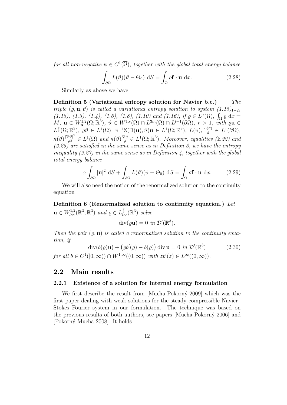*for all non-negative*  $\psi \in C^1(\overline{\Omega})$ *, together with the global total energy balance* 

$$
\int_{\partial\Omega} L(\vartheta)(\vartheta - \Theta_0) \, \mathrm{d}S = \int_{\Omega} \varrho \mathbf{f} \cdot \mathbf{u} \, \mathrm{d}x. \tag{2.28}
$$

Similarly as above we have

**Definition 5 (Variational entropy solution for Navier b.c.)** *The triple*  $(\rho, \mathbf{u}, \vartheta)$  *is called a variational entropy solution to system*  $(1.15)_{1-2}$ *, (1.18), (1.3), (1.4), (1.6), (1.8), (1.10) and (1.16), if*  $\varrho \in L^{\gamma}(\Omega)$ *,*  $\int_{\Omega} \varrho dx =$  $M, \mathbf{u} \in W^{1,2}_{\mathbf{n}}(\Omega;\mathbb{R}^3), \ \vartheta \in W^{1,r}(\Omega) \cap L^{3m}(\Omega) \cap L^{l+1}(\partial\Omega), \ r > 1, \ \text{with} \ \varrho \mathbf{u} \in$  $L^{\frac{6}{5}}(\Omega;\mathbb{R}^3), \varrho\vartheta \in L^1(\Omega), \vartheta^{-1}\mathbb{S}(\mathbb{D}(\mathbf{u}),\vartheta)\mathbf{u} \in L^1(\Omega;\mathbb{R}^3), L(\vartheta), \frac{L(\vartheta)}{\vartheta}$  $\frac{\partial}{\partial \theta}$   $\in L^1(\partial\Omega)$ ,  $\kappa(\vartheta) \frac{|\nabla \vartheta|^2}{\vartheta^2} \in L^1(\Omega)$  and  $\kappa(\vartheta) \frac{\nabla \vartheta}{\vartheta}$  $\frac{\nabla \vartheta}{\vartheta} \in L^1(\Omega;\mathbb{R}^3)$ *. Moreover, equalities (2.22)* and *(2.25) are satisfied in the same sense as in Definition 3, we have the entropy inequality (2.27) in the same sense as in Definition 4, together with the global total energy balance*

$$
\alpha \int_{\partial \Omega} |\mathbf{u}|^2 \, \mathrm{d}S + \int_{\partial \Omega} L(\vartheta)(\vartheta - \Theta_0) \, \mathrm{d}S = \int_{\Omega} \varrho \mathbf{f} \cdot \mathbf{u} \, \mathrm{d}x. \tag{2.29}
$$

We will also need the notion of the renormalized solution to the continuity equation

**Definition 6 (Renormalized solution to continuity equation.)** *Let* **u** ∈  $W_{loc}^{1,2}(\mathbb{R}^3; \mathbb{R}^3)$  *and*  $\varrho$  ∈  $L_{loc}^{\frac{6}{5}}(\mathbb{R}^3)$  *solve* 

$$
\operatorname{div}(\varrho \mathbf{u}) = 0 \text{ in } \mathcal{D}'(\mathbb{R}^3).
$$

*Then the pair* (*ϱ,* **u**) *is called a renormalized solution to the continuity equation, if*

$$
\operatorname{div}(b(\varrho)\mathbf{u}) + (\varrho b'(\varrho) - b(\varrho)) \operatorname{div} \mathbf{u} = 0 \text{ in } \mathcal{D}'(\mathbb{R}^3) \tag{2.30}
$$
  
for all  $b \in C^1([0, \infty)) \cap W^{1, \infty}((0, \infty))$  with  $zb'(z) \in L^{\infty}((0, \infty))$ .

## **2.2 Main results**

#### **2.2.1 Existence of a solution for internal energy formulation**

We first describe the result from [Mucha Pokorný 2009] which was the first paper dealing with weak solutions for the steady compressible Navier– Stokes–Fourier system in our formulation. The technique was based on the previous results of both authors, see papers [Mucha Pokorn´y 2006] and [Pokorn´y Mucha 2008]. It holds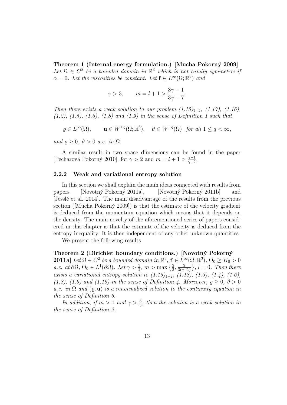**Theorem 1 (Internal energy formulation.) [Mucha Pokorn´y 2009]** Let  $\Omega \in C^2$  be a bounded domain in  $\mathbb{R}^3$  which is not axially symmetric if  $\alpha = 0$ *. Let the viscosities be constant. Let*  $f \in L^{\infty}(\Omega; \mathbb{R}^{3})$  *and* 

$$
\gamma > 3, \qquad m = l + 1 > \frac{3\gamma - 1}{3\gamma - 7}.
$$

*Then there exists a weak solution to our problem*  $(1.15)_{1-2}$ *,*  $(1.17)$ *,*  $(1.16)$ *, (1.2), (1.5), (1.6), (1.8) and (1.9) in the sense of Definition 1 such that*

 $\varrho \in L^{\infty}(\Omega)$ ,  $\mathbf{u} \in W^{1,q}(\Omega; \mathbb{R}^3)$ ,  $\vartheta \in W^{1,q}(\Omega)$  *for all*  $1 \leq q < \infty$ ,

*and*  $\varrho \geq 0$ ,  $\vartheta > 0$  *a.e. in*  $\Omega$ *.* 

A similar result in two space dimensions can be found in the paper [Pecharová Pokorný 2010], for  $\gamma > 2$  and  $m = l + 1 > \frac{\gamma - 1}{\gamma - 2}$  $\frac{\gamma-1}{\gamma-2}$ .

#### **2.2.2 Weak and variational entropy solution**

In this section we shall explain the main ideas connected with results from papers [Novotný Pokorný 2011a], [Novotný Pokorný 2011b] and [Jessl´e et al. 2014]. The main disadvantage of the results from the previous section ( $[Mucha Pokorný 2009]$ ) is that the estimate of the velocity gradient is deduced from the momentum equation which means that it depends on the density. The main novelty of the aforementioned series of papers considered in this chapter is that the estimate of the velocity is deduced from the entropy inequality. It is then independent of any other unknown quantities.

We present the following results

#### **Theorem 2 (Dirichlet boundary conditions.) [Novotn´y Pokorn´y**

**2011a**] *Let*  $\Omega \in C^2$  *be a bounded domain in*  $\mathbb{R}^3$ ,  $\mathbf{f} \in L^\infty(\Omega; \mathbb{R}^3)$ ,  $\Theta_0 \geq K_0 > 0$  $a.e.$   $at \partial\Omega, \Theta_0 \in L^1(\partial\Omega)$ *.*  $Let \gamma > \frac{3}{2}, m > \max\left\{\frac{2}{3}, \frac{2}{3(\gamma-1)}\right\}, l = 0$ *. Then there exists a variational entropy solution to (1.15)*<sup>1</sup>*−*<sup>2</sup>*, (1.18), (1.3), (1.4), (1.6), (1.8), (1.9) and (1.16) in the sense of Definition 4. Moreover,*  $\rho \geq 0$ ,  $\vartheta > 0$ *a.e.* in  $\Omega$  *and*  $(\rho, \mathbf{u})$  *is a renormalized solution to the continuity equation in the sense of Definition 6.*

*In addition, if*  $m > 1$  *and*  $\gamma > \frac{5}{3}$ *, then the solution is a weak solution in the sense of Definition 2.*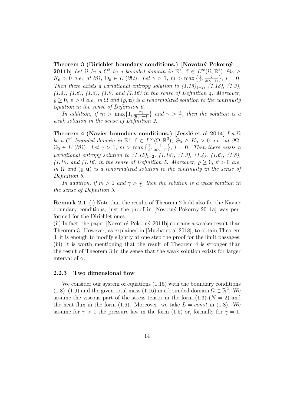Theorem 3 (Dirichlet boundary conditions.) [Novotný Pokorný **2011b**] *Let*  $\Omega$  *be a*  $C^2$  *be a bounded domain in*  $\mathbb{R}^3$ ,  $\mathbf{f} \in L^\infty(\Omega; \mathbb{R}^3)$ ,  $\Theta_0 \geq$  $K_0 > 0$  *a.e.* at  $\partial\Omega$ ,  $\Theta_0 \in L^1(\partial\Omega)$ *. Let*  $\gamma > 1$ ,  $m > \max\left\{\frac{2}{3}, \frac{2}{3(\gamma - 1)}\right\}$ ,  $l = 0$ *. Then there exists a variational entropy solution to*  $(1.15)_{1-2}$ *,*  $(1.18)$ *,*  $(1.3)$ *, (1.4), (1.6), (1.8), (1.9) and (1.16) in the sense of Definition 4. Moreover,*  $\rho \geq 0$ ,  $\vartheta > 0$  *a.e.* in  $\Omega$  *and*  $(\varrho, \mathbf{u})$  *is a renormalized solution to the continuity equation in the sense of Definition 6.*

*In addition, if*  $m > \max\{1, \frac{2\gamma}{3(3\gamma - 4)}\}$  *and*  $\gamma > \frac{4}{3}$ *, then the solution is a weak solution in the sense of Definition 2.*

**Theorem 4 (Navier boundary conditions.) [Jessl´e et al 2014]** *Let* Ω *be a*  $C^2$  *bounded domain in*  $\mathbb{R}^3$ ,  $\mathbf{f} \in L^\infty(\Omega; \mathbb{R}^3)$ ,  $\Theta_0 \geq K_0 > 0$  *a.e. at*  $\partial\Omega$ *,*  $\Theta_0 \in L^1(\partial\Omega)$ *. Let*  $\gamma > 1$ *, m >* max  $\left\{\frac{2}{3}, \frac{2}{3(\gamma - 1)}\right\}$ *, l = 0. Then there exists a variational entropy solution to (1.15)*<sub>1−2</sub>*, (1.18), (1.3), (1.4), (1.6), (1.8), (1.10)* and (1.16) in the sense of Definition 5. Moreover,  $\rho \geq 0$ ,  $\vartheta > 0$  a.e. *in*  $\Omega$  *and*  $(\varrho, \mathbf{u})$  *is a renormalized solution to the continuity in the sense of Definition 6.*

*In addition, if*  $m > 1$  *and*  $\gamma > \frac{5}{4}$ *, then the solution is a weak solution in the sense of Definition 3.*

**Remark 2.1** (i) Note that the results of Theorem 2 hold also for the Navier boundary conditions, just the proof in [Novotný Pokorný 2011a] was performed for the Dirichlet ones.

(ii) In fact, the paper [Novotný Pokorný 2011b] contains a weaker result than Theorem 3. However, as explained in [Mucha et al 2018], to obtain Theorem 3, it is enough to modify slightly at one step the proof for the limit passages. (iii) It is worth mentioning that the result of Theorem 4 is stronger than the result of Theorem 3 in the sense that the weak solution exists for larger interval of  $\gamma$ .

#### **2.2.3 Two dimensional flow**

We consider our system of equations  $(1.15)$  with the boundary conditions  $(1.8)$ – $(1.9)$  and the given total mass  $(1.16)$  in a bounded domain  $\Omega \subset \mathbb{R}^2$ . We assume the viscous part of the stress tensor in the form  $(1.3)$   $(N = 2)$  and the heat flux in the form  $(1.6)$ . Moreover, we take  $L = const$  in  $(1.8)$ . We assume for  $\gamma > 1$  the pressure law in the form (1.5) or, formally for  $\gamma = 1$ ,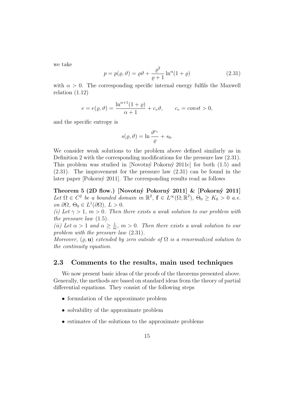we take

$$
p = p(\varrho, \vartheta) = \varrho \vartheta + \frac{\varrho^2}{\varrho + 1} \ln^{\alpha} (1 + \varrho)
$$
\n(2.31)

with  $\alpha > 0$ . The corresponding specific internal energy fulfils the Maxwell relation (1.12)

$$
e = e(\varrho, \vartheta) = \frac{\ln^{\alpha+1}(1+\varrho)}{\alpha+1} + c_v \vartheta, \qquad c_v = const > 0,
$$

and the specific entropy is

$$
s(\varrho,\vartheta)=\ln\frac{\vartheta^{c_v}}{\varrho}+s_0.
$$

We consider weak solutions to the problem above defined similarly as in Definition 2 with the corresponding modifications for the pressure law (2.31). This problem was studied in [Novotný Pokorný 2011c] for both  $(1.5)$  and (2.31). The improvement for the pressure law (2.31) can be found in the later paper [Pokorný 2011]. The corresponding results read as follows

**Theorem 5 (2D flow.) [Novotn´y Pokorn´y 2011] & [Pokorn´y 2011]** *Let*  $\Omega \in C^2$  *be a bounded domain in*  $\mathbb{R}^2$ ,  $\mathbf{f} \in L^\infty(\Omega; \mathbb{R}^2)$ ,  $\Theta_0 \geq K_0 > 0$  *a.e.*  $\partial \Omega, \Theta_0 \in L^1(\partial \Omega), L > 0.$ 

*(i)* Let  $\gamma > 1$ ,  $m > 0$ . Then there exists a weak solution to our problem with *the pressure law* (1.5)*.*

*(ii)* Let  $\alpha > 1$  and  $\alpha \geq \frac{1}{n}$  $\frac{1}{m}$ ,  $m > 0$ . Then there exists a weak solution to our *problem with the pressure law* (2.31)*.*

*Moreover,*  $(\rho, \mathbf{u})$  *extended by zero outside of*  $\Omega$  *is a renormalized solution to the continuity equation.*

### **2.3 Comments to the results, main used techniques**

We now present basic ideas of the proofs of the theorems presented above. Generally, the methods are based on standard ideas from the theory of partial differential equations. They consist of the following steps

- formulation of the approximate problem
- solvability of the approximate problem
- *•* estimates of the solutions to the approximate problems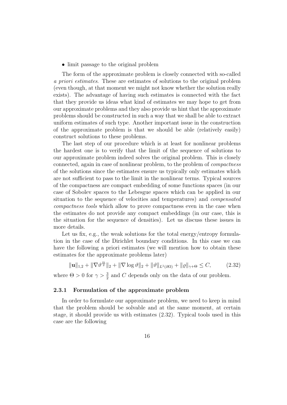#### • limit passage to the original problem

The form of the approximate problem is closely connected with so-called *a priori estimates*. These are estimates of solutions to the original problem (even though, at that moment we might not know whether the solution really exists). The advantage of having such estimates is connected with the fact that they provide us ideas what kind of estimates we may hope to get from our approximate problems and they also provide us hint that the approximate problems should be constructed in such a way that we shall be able to extract uniform estimates of such type. Another important issue in the construction of the approximate problem is that we should be able (relatively easily) construct solutions to these problems.

The last step of our procedure which is at least for nonlinear problems the hardest one is to verify that the limit of the sequence of solutions to our approximate problem indeed solves the original problem. This is closely connected, again in case of nonlinear problem, to the problem of *compactness* of the solutions since the estimates ensure us typically only estimates which are not sufficient to pass to the limit in the nonlinear terms. Typical sources of the compactness are compact embedding of some functions spaces (in our case of Sobolev spaces to the Lebesgue spaces which can be applied in our situation to the sequence of velocities and temperatures) and *compensated compactness tools* which allow to prove compactness even in the case when the estimates do not provide any compact embeddings (in our case, this is the situation for the sequence of densities). Let us discuss these issues in more details.

Let us fix, e.g., the weak solutions for the total energy/entropy formulation in the case of the Dirichlet boundary conditions. In this case we can have the following a priori estimates (we will mention how to obtain these estimates for the approximate problems later)

$$
\|\mathbf{u}\|_{1,2} + \|\nabla \vartheta^{\frac{m}{2}}\|_{2} + \|\nabla \log \vartheta\|_{2} + \|\vartheta\|_{L^{1}(\partial \Omega)} + \|\varrho\|_{\gamma + \Theta} \leq C,\tag{2.32}
$$

where  $\Theta > 0$  for  $\gamma > \frac{3}{2}$  and *C* depends only on the data of our problem.

#### **2.3.1 Formulation of the approximate problem**

In order to formulate our approximate problem, we need to keep in mind that the problem should be solvable and at the same moment, at certain stage, it should provide us with estimates (2.32). Typical tools used in this case are the following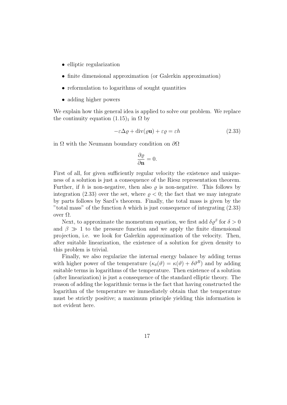- elliptic regularization
- finite dimensional approximation (or Galerkin approximation)
- reformulation to logarithms of sought quantities
- adding higher powers

We explain how this general idea is applied to solve our problem. We replace the continuity equation  $(1.15)<sub>1</sub>$  in  $\Omega$  by

$$
-\varepsilon \Delta \varrho + \text{div}(\varrho \mathbf{u}) + \varepsilon \varrho = \varepsilon h \tag{2.33}
$$

in Ω with the Neumann boundary condition on *∂*Ω

$$
\frac{\partial \varrho}{\partial \mathbf{n}} = 0.
$$

First of all, for given sufficiently regular velocity the existence and uniqueness of a solution is just a consequence of the Riesz representation theorem. Further, if *h* is non-negative, then also *ϱ* is non-negative. This follows by integration (2.33) over the set, where  $\rho < 0$ ; the fact that we may integrate by parts follows by Sard's theorem. Finally, the total mass is given by the "total mass" of the function *h* which is just consequence of integrating (2.33) over Ω.

Next, to approximate the momentum equation, we first add  $\delta \varrho^{\beta}$  for  $\delta > 0$ and  $\beta \gg 1$  to the pressure function and we apply the finite dimensional projection, i.e. we look for Galerkin approximation of the velocity. Then, after suitable linearization, the existence of a solution for given density to this problem is trivial.

Finally, we also regularize the internal energy balance by adding terms with higher power of the temperature  $(\kappa_{\delta}(\vartheta) = \kappa(\vartheta) + \delta\vartheta^{B})$  and by adding suitable terms in logarithms of the temperature. Then existence of a solution (after linearization) is just a consequence of the standard elliptic theory. The reason of adding the logarithmic terms is the fact that having constructed the logarithm of the temperature we immediately obtain that the temperature must be strictly positive; a maximum principle yielding this information is not evident here.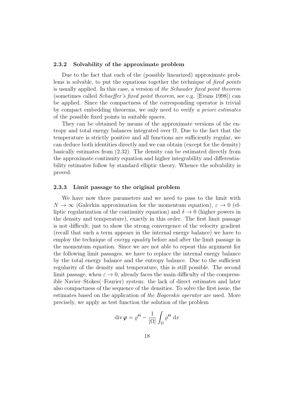#### **2.3.2 Solvability of the approximate problem**

Due to the fact that each of the (possibly linearized) approximate problems is solvable, to put the equations together the technique of *fixed points* is usually applied. In this case, a version of *the Schauder fixed point theorem* (sometimes called *Schaeffer's fixed point theorem*, see e.g. [Evans 1998]) can be applied. Since the compactness of the corresponding operator is trivial by compact embedding theorems, we only need to verify *a priori estimates* of the possible fixed points in suitable spaces.

They can be obtained by means of the approximate versions of the entropy and total energy balances integrated over  $\Omega$ . Due to the fact that the temperature is strictly positive and all functions are sufficiently regular, we can deduce both identities directly and we can obtain (except for the density) basically estimates from (2.32). The density can be estimated directly from the approximate continuity equation and higher integrability and differentiability estimates follow by standard elliptic theory. Whence the solvability is proved.

#### **2.3.3 Limit passage to the original problem**

We have now three parameters and we need to pass to the limit with  $N \to \infty$  (Galerkin approximation for the momentum equation),  $\varepsilon \to 0$  (elliptic regularization of the continuity equation) and  $\delta \rightarrow 0$  (higher powers in the density and temperature), exactly in this order. The first limit passage is not difficult; just to show the strong convergence of the velocity gradient (recall that such a term appears in the internal energy balance) we have to employ the technique of *energy equality* before and after the limit passage in the momentum equation. Since we are not able to repeat this argument for the following limit passages, we have to replace the internal energy balance by the total energy balance and the entropy balance. Due to the sufficient regularity of the density and temperature, this is still possible. The second limit passage, when  $\varepsilon \to 0$ , already faces the main difficulty of the compressible Navier–Stokes(–Fourier) system: the lack of direct estimates and later also compactness of the sequence of the densities. To solve the first issue, the estimates based on the application of *the Bogovskii operator* are used. More precisely, we apply as test function the solution of the problem

$$
\operatorname{div}\boldsymbol{\varphi} = \varrho^{\Theta} - \frac{1}{|\Omega|} \int_{\Omega} \varrho^{\Theta} \, \mathrm{d}x
$$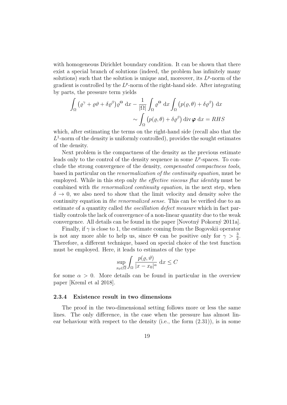with homogeneous Dirichlet boundary condition. It can be shown that there exist a special branch of solutions (indeed, the problem has infinitely many solutions) such that the solution is unique and, moreover, its  $L^p$ -norm of the gradient is controlled by the  $L^p$ -norm of the right-hand side. After integrating by parts, the pressure term yields

$$
\int_{\Omega} (\varrho^{\gamma} + \varrho \vartheta + \delta \varrho^{\beta}) \varrho^{\Theta} dx - \frac{1}{|\Omega|} \int_{\Omega} \varrho^{\Theta} dx \int_{\Omega} (p(\varrho, \theta) + \delta \varrho^{\beta}) dx
$$

$$
\sim \int_{\Omega} (p(\varrho, \theta) + \delta \varrho^{\beta}) div \varphi dx = RHS
$$

which, after estimating the terms on the right-hand side (recall also that the  $L^1$ -norm of the density is uniformly controlled), provides the sought estimates of the density.

Next problem is the compactness of the density as the previous estimate leads only to the control of the density sequence in some  $L^p$ -spaces. To conclude the strong convergence of the density, *compensated compactness tools*, based in particular on the *renormalization of the continuity equation*, must be employed. While in this step only *the effective viscous flux identity* must be combined with *the renormalized continuity equation*, in the next step, when  $\delta \rightarrow 0$ , we also need to show that the limit velocity and density solve the continuity equation in *the renormalized sense*. This can be verified due to an estimate of a quantity called *the oscillation defect measure* which in fact partially controls the lack of convergence of a non-linear quantity due to the weak convergence. All details can be found in the paper [Novotný Pokorný 2011a].

Finally, if  $\gamma$  is close to 1, the estimate coming from the Bogovskii operator is not any more able to help us, since  $\Theta$  can be positive only for  $\gamma > \frac{3}{2}$ . Therefore, a different technique, based on special choice of the test function must be employed. Here, it leads to estimates of the type

$$
\sup_{x_0 \in \overline{\Omega}} \int_{\Omega} \frac{p(\varrho, \vartheta)}{|x - x_0|^{\alpha}} \, \mathrm{d}x \le C
$$

for some  $\alpha > 0$ . More details can be found in particular in the overview paper [Kreml et al 2018].

#### **2.3.4 Existence result in two dimensions**

The proof in the two-dimensional setting follows more or less the same lines. The only difference, in the case when the pressure has almost linear behaviour with respect to the density (i.e., the form  $(2.31)$ ), is in some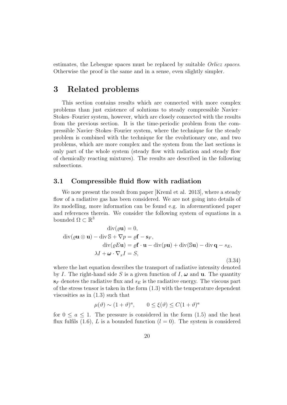estimates, the Lebesgue spaces must be replaced by suitable *Orlicz spaces*. Otherwise the proof is the same and in a sense, even slightly simpler.

## **3 Related problems**

This section contains results which are connected with more complex problems than just existence of solutions to steady compressible Navier– Stokes–Fourier system, however, which are closely connected with the results from the previous section. It is the time-periodic problem from the compressible Navier–Stokes–Fourier system, where the technique for the steady problem is combined with the technique for the evolutionary one, and two problems, which are more complex and the system from the last sections is only part of the whole system (steady flow with radiation and steady flow of chemically reacting mixtures). The results are described in the following subsections.

### **3.1 Compressible fluid flow with radiation**

We now present the result from paper [Kreml et al. 2013], where a steady flow of a radiative gas has been considered. We are not going into details of its modelling, more information can be found e.g. in aforementioned paper and references therein. We consider the following system of equations in a bounded  $\Omega \subset \mathbb{R}^3$ 

$$
\operatorname{div}(\varrho \mathbf{u}) = 0,
$$
  
\n
$$
\operatorname{div}(\varrho \mathbf{u} \otimes \mathbf{u}) - \operatorname{div} \mathbb{S} + \nabla p = \varrho \mathbf{f} - \mathbf{s}_F,
$$
  
\n
$$
\operatorname{div}(\varrho E \mathbf{u}) = \varrho \mathbf{f} \cdot \mathbf{u} - \operatorname{div}(p\mathbf{u}) + \operatorname{div}(\mathbb{S}\mathbf{u}) - \operatorname{div} \mathbf{q} - s_E,
$$
  
\n
$$
\lambda I + \boldsymbol{\omega} \cdot \nabla_x I = S,
$$
\n(3.34)

where the last equation describes the transport of radiative intensity denoted by *I*. The right-hand side *S* is a given function of *I*,  $\omega$  and **u**. The quantity  $s_F$  denotes the radiative flux and  $s_E$  is the radiative energy. The viscous part of the stress tensor is taken in the form (1.3) with the temperature dependent viscosities as in (1.3) such that

$$
\mu(\vartheta) \sim (1+\vartheta)^a, \qquad 0 \le \xi(\vartheta) \le C(1+\vartheta)^a
$$

for  $0 \le a \le 1$ . The pressure is considered in the form  $(1.5)$  and the heat flux fulfils  $(1.6)$ , *L* is a bounded function  $(l = 0)$ . The system is considered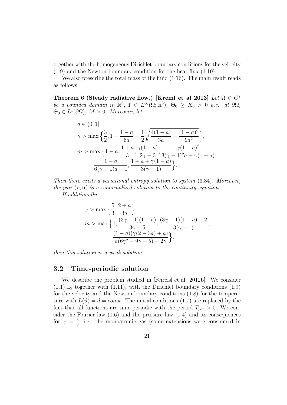together with the homogeneous Dirichlet boundary conditions for the velocity (1.9) and the Newton boundary condition for the heat flux (1.10).

We also prescribe the total mass of the fluid  $(1.16)$ . The main result reads as follows

**Theorem 6 (Steady radiative flow.) [Kreml et al 2013]** *Let*  $\Omega \in C^2$ *be a bounded domain in*  $\mathbb{R}^3$ ,  $f \in L^\infty(\Omega; \mathbb{R}^3)$ ,  $\Theta_0 \geq K_0 > 0$  *a.e. at*  $\partial\Omega$ *,*  $\Theta_0 \in L^1(\partial\Omega)$ ,  $M > 0$ *. Moreover, let* 

$$
a \in (0, 1],
$$
  
\n
$$
\gamma > \max\left\{\frac{3}{2}, 1 + \frac{1 - a}{6a} + \frac{1}{2}\sqrt{\frac{4(1 - a)}{3a} + \frac{(1 - a)^2}{9a^2}}\right\},\
$$
  
\n
$$
m > \max\left\{1 - a, \frac{1 + a}{3}, \frac{\gamma(1 - a)}{2\gamma - 3}, \frac{\gamma(1 - a)^2}{3(\gamma - 1)^2a - \gamma(1 - a)}, \frac{1 - a}{6(\gamma - 1)a - 1}, \frac{1 + a + \gamma(1 - a)}{3(\gamma - 1)}\right\}.
$$

*Then there exists a variational entropy solution to system* (3.34)*. Moreover, the pair* (*ϱ,* **u**) *is a renormalized solution to the continuity equation.*

*If additionally*

$$
\gamma > \max\left\{\frac{5}{3}, \frac{2+a}{3a}\right\},\
$$
  

$$
m > \max\left\{1, \frac{(3\gamma - 1)(1-a)}{3\gamma - 5}, \frac{(3\gamma - 1)(1-a) + 2}{3(\gamma - 1)}, \frac{(1-a)(\gamma(2-3a) + a)}{a(6\gamma^2 - 9\gamma + 5) - 2\gamma}\right\},\
$$

*then this solution is a weak solution.*

### **3.2 Time-periodic solution**

We describe the problem studied in [Feireisl et al. 2012b]. We consider  $(1.1)_{1-2}$  together with (1.11), with the Dirichlet boundary conditions (1.9) for the velocity and the Newton boundary conditions (1.8) for the temperature with  $L(\vartheta) = d = const.$  The initial conditions (1.7) are replaced by the fact that all functions are time-periodic with the period  $T_{per} > 0$ . We consider the Fourier law  $(1.6)$  and the pressure law  $(1.4)$  and its consequences for  $\gamma = \frac{5}{3}$  $\frac{5}{3}$ , i.e. the monoatomic gas (some extensions were considered in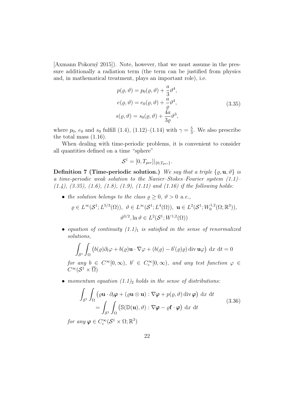[Axmann Pokorn´y 2015]). Note, however, that we must assume in the pressure additionally a radiation term (the term can be justified from physics and, in mathematical treatment, plays an important role), i.e.

$$
p(\varrho, \vartheta) = p_0(\varrho, \vartheta) + \frac{a}{3} \vartheta^4,
$$
  
\n
$$
e(\varrho, \vartheta) = e_0(\varrho, \vartheta) + \frac{a}{\varrho} \vartheta^4,
$$
  
\n
$$
s(\varrho, \vartheta) = s_0(\varrho, \vartheta) + \frac{4a}{3\varrho} \vartheta^3,
$$
\n(3.35)

where  $p_0$ ,  $e_0$  and  $s_0$  fulfill (1.4), (1.12)–(1.14) with  $\gamma = \frac{5}{3}$  $\frac{5}{3}$ . We also prescribe the total mass (1.16).

When dealing with time-periodic problems, it is convenient to consider all quantities defined on a time "sphere"

$$
S^1 = [0, T_{per}]|_{\{0, T_{per}\}}.
$$

**Definition 7 (Time-periodic solution.)** We say that a triple  $\{ \varrho, \mathbf{u}, \vartheta \}$  is *a time-periodic weak solution to the Navier–Stokes–Fourier system (1.1)– (1.4), (3.35), (1.6), (1.8), (1.9), (1.11) and (1.16) if the following holds:*

• *the solution belongs to the class*  $\rho \geq 0$ ,  $\vartheta > 0$  *a.e.*,

$$
\varrho \in L^{\infty}(\mathcal{S}^1; L^{5/3}(\Omega)), \quad \vartheta \in L^{\infty}(\mathcal{S}^1; L^4(\Omega)), \quad \mathbf{u} \in L^2(\mathcal{S}^1; W_0^{1,2}(\Omega; \mathbb{R}^3)),
$$

$$
\vartheta^{3/2}, \ln \vartheta \in L^2(\mathcal{S}^1; W^{1,2}(\Omega))
$$

• *equation of continuity*  $(1.1)$ <sup>1</sup> *is satisfied in the sense of renormalized solutions,*

$$
\int_{\mathcal{S}^1} \int_{\Omega} \left( b(\varrho) \partial_t \varphi + b(\varrho) \mathbf{u} \cdot \nabla \varphi + (b(\varrho) - b'(\varrho)\varrho) \operatorname{div} \mathbf{u} \varphi \right) dx dt = 0
$$

*for any*  $b \in C^{\infty}[0, \infty)$ ,  $b' \in C_c^{\infty}[0, \infty)$ , and any test function  $\varphi \in$  $C^\infty( \mathcal{S}^1 \times \overline{\Omega})$ 

*• momentum equation (1.1)*<sup>2</sup> *holds in the sense of distributions:*

$$
\int_{\mathcal{S}^1} \int_{\Omega} \left( \varrho \mathbf{u} \cdot \partial_t \boldsymbol{\varphi} + (\varrho \mathbf{u} \otimes \mathbf{u}) : \nabla \boldsymbol{\varphi} + p(\varrho, \vartheta) \operatorname{div} \boldsymbol{\varphi} \right) dx dt
$$
\n
$$
= \int_{\mathcal{S}^1} \int_{\Omega} \left( \mathbb{S}(\mathbb{D}(\mathbf{u}), \vartheta) : \nabla \boldsymbol{\varphi} - \varrho \mathbf{f} \cdot \boldsymbol{\varphi} \right) dx dt
$$
\n(3.36)

*for any*  $\varphi \in C_c^\infty(\mathcal{S}^1 \times \Omega; \mathbb{R}^3)$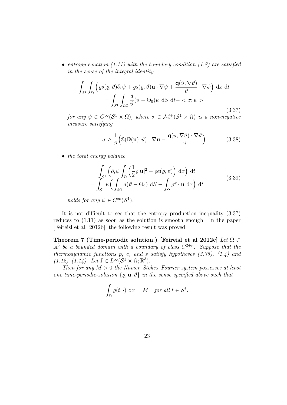*• entropy equation (1.11) with the boundary condition (1.8) are satisfied in the sense of the integral identity*

$$
\int_{\mathcal{S}^1} \int_{\Omega} \left( \varrho s(\varrho, \vartheta) \partial_t \psi + \varrho s(\varrho, \vartheta) \mathbf{u} \cdot \nabla \psi + \frac{\mathbf{q}(\vartheta, \nabla \vartheta)}{\vartheta} \cdot \nabla \psi \right) dx dt
$$

$$
= \int_{\mathcal{S}^1} \int_{\partial \Omega} \frac{d}{\vartheta} (\vartheta - \Theta_0) \psi dS dt - \langle \sigma; \psi \rangle
$$
(3.37)

*for any*  $\psi \in C^{\infty}(\mathcal{S}^1 \times \overline{\Omega})$ *, where*  $\sigma \in \mathcal{M}^+(\mathcal{S}^1 \times \overline{\Omega})$  *is a non-negative measure satisfying*

$$
\sigma \ge \frac{1}{\vartheta} \Big( \mathbb{S}(\mathbb{D}(\mathbf{u}), \vartheta) : \nabla \mathbf{u} - \frac{\mathbf{q}(\vartheta, \nabla \vartheta) \cdot \nabla \vartheta}{\vartheta} \Big) \tag{3.38}
$$

*• the total energy balance*

$$
\int_{S^1} \left( \partial_t \psi \int_{\Omega} \left( \frac{1}{2} \varrho | \mathbf{u} |^2 + \varrho e(\varrho, \vartheta) \right) \, \mathrm{d}x \right) \, \mathrm{d}t
$$
\n
$$
= \int_{S^1} \psi \left( \int_{\partial \Omega} d(\vartheta - \Theta_0) \, \mathrm{d}S - \int_{\Omega} \varrho \mathbf{f} \cdot \mathbf{u} \, \mathrm{d}x \right) \, \mathrm{d}t \tag{3.39}
$$

*holds for any*  $\psi \in C^{\infty}(\mathcal{S}^1)$ *.* 

It is not difficult to see that the entropy production inequality (3.37) reduces to (1.11) as soon as the solution is smooth enough. In the paper [Feireisl et al. 2012b], the following result was proved:

**Theorem 7 (Time-periodic solution.) [Feireisl et al 2012c]** *Let* Ω *⊂*  $\mathbb{R}^3$  *be a bounded domain with a boundary of class*  $C^{2+\nu}$ *. Suppose that the thermodynamic functions p, e, and s satisfy hypotheses (3.35), (1.4) and*  $(1.12)$ – $(1.14)$ *.* Let  $f \in L^{\infty}(\mathcal{S}^1 \times \Omega; \mathbb{R}^3)$ *.* 

*Then for any M >* 0 *the Navier–Stokes–Fourier system possesses at least one time-periodic-solution*  $\{ \varrho, \mathbf{u}, \vartheta \}$  *in the sense specified above such that* 

$$
\int_{\Omega} \varrho(t, \cdot) \, \mathrm{d}x = M \quad \text{for all } t \in \mathcal{S}^1.
$$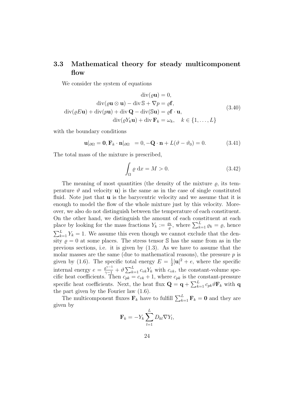## **3.3 Mathematical theory for steady multicomponent flow**

We consider the system of equations

$$
\operatorname{div}(\varrho \mathbf{u}) = 0,
$$
  
\n
$$
\operatorname{div}(\varrho \mathbf{u} \otimes \mathbf{u}) - \operatorname{div} \mathbb{S} + \nabla p = \varrho \mathbf{f},
$$
  
\n
$$
\operatorname{div}(\varrho E \mathbf{u}) + \operatorname{div}(p \mathbf{u}) + \operatorname{div} \mathbf{Q} - \operatorname{div}(\mathbb{S} \mathbf{u}) = \varrho \mathbf{f} \cdot \mathbf{u},
$$
  
\n
$$
\operatorname{div}(\varrho Y_k \mathbf{u}) + \operatorname{div} \mathbf{F}_k = \omega_k, \quad k \in \{1, \dots, L\}
$$
\n(3.40)

with the boundary conditions

$$
\mathbf{u}|_{\partial\Omega} = \mathbf{0}, \mathbf{F}_k \cdot \mathbf{n}|_{\partial\Omega} = 0, -\mathbf{Q} \cdot \mathbf{n} + L(\vartheta - \vartheta_0) = 0. \tag{3.41}
$$

The total mass of the mixture is prescribed,

$$
\int_{\Omega} \varrho \, \mathrm{d}x = M > 0. \tag{3.42}
$$

The meaning of most quantities (the density of the mixture  $\rho$ , its temperature  $\vartheta$  and velocity **u**) is the same as in the case of single constituted fluid. Note just that **u** is the barycentric velocity and we assume that it is enough to model the flow of the whole mixture just by this velocity. Moreover, we also do not distinguish between the temperature of each constituent. On the other hand, we distinguish the amount of each constituent at each place by looking for the mass fractions  $Y_k := \frac{\rho_k}{\rho}$  $\sum_{k=1}^{L} \varrho_k = \varrho$ , hence  $\sum_{k=1}^{L} Y_k = 1$ . We assume this even though we cannot exclude that the density  $\rho = 0$  at some places. The stress tensor  $\mathbb S$  has the same from as in the previous sections, i.e. it is given by  $(1.3)$ . As we have to assume that the molar masses are the same (due to mathematical reasons), the pressure  $p$  is given by (1.6). The specific total energy  $E = \frac{1}{2}$  $\frac{1}{2}|\mathbf{u}|^2 + e$ , where the specific internal energy  $e = \frac{\varrho^{\gamma-1}}{\gamma-1} + \vartheta \sum_{k=1}^{L} c_{vk} Y_k$  with  $c_{vk}$ , the constant-volume specific heat coefficients. Then  $c_{pk} = c_{vk} + 1$ , where  $c_{pk}$  is the constant-pressure specific heat coefficients. Next, the heat flux  $\mathbf{Q} = \mathbf{q} + \sum_{k=1}^{L} c_{pk} \vartheta \mathbf{F}_k$  with  $\mathbf{q}$ the part given by the Fourier law (1.6).

The multicomponent fluxes  $\mathbf{F}_k$  have to fulfill  $\sum_{k=1}^L \mathbf{F}_k = \mathbf{0}$  and they are given by

$$
\mathbf{F}_k = -Y_k \sum_{l=1}^L D_{kl} \nabla Y_l,
$$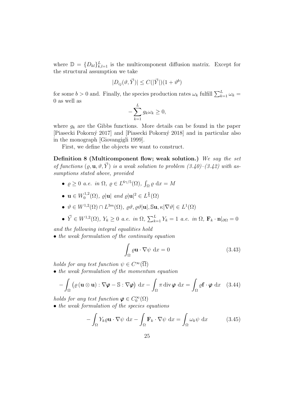where  $\mathbb{D} = \{D_{kl}\}_{k,l=1}^L$  is the multicomponent diffusion matrix. Except for the structural assumption we take

$$
|D_{ij}(\vartheta,\vec{Y})| \leq C(|\vec{Y}|)(1+\vartheta^b)
$$

for some  $b > 0$  and. Finally, the species production rates  $\omega_k$  fulfill  $\sum_{k=1}^{L} \omega_k =$ 0 as well as

$$
-\sum_{k=1}^{L} g_k \omega_k \ge 0,
$$

where  $g_k$  are the Gibbs functions. More details can be found in the paper [Piasecki Pokorn´y 2017] and [Piasecki Pokorn´y 2018] and in particular also in the monograph [Giovangigli 1999].

First, we define the objects we want to construct.

**Definition 8 (Multicomponent flow; weak solution.)** *We say the set of functions*  $(\rho, \mathbf{u}, \vartheta, \vec{Y})$  *is a weak solution to problem*  $(3.40)$ – $(3.42)$  with as*sumptions stated above, provided*

- $\varrho \geq 0$  *a.e. in*  $\Omega$ ,  $\varrho \in L^{6\gamma/5}(\Omega)$ ,  $\int_{\Omega} \varrho \, dx = M$
- $\mathbf{u} \in W_0^{1,2}$  $\mathcal{O}_0^{1,2}(\Omega)$ ,  $\varrho|\mathbf{u}| \text{ and } \varrho|\mathbf{u}|^2 \in L^{\frac{6}{5}}(\Omega)$
- $\bullet$  *θ*  $\in$  *W*<sup>1,2</sup>(Ω) ∩ *L*<sup>3*m*</sup>(Ω)*,*  $\varrho\vartheta$ *,*  $\varrho\vartheta$ |**u**|, S**u**,  $\kappa |\nabla \vartheta| \in L^1(\Omega)$
- $\vec{Y} \in W^{1,2}(\Omega)$ ,  $Y_k \ge 0$  a.e. in  $\Omega$ ,  $\sum_{k=1}^{L} Y_k = 1$  a.e. in  $\Omega$ ,  $\mathbf{F}_k \cdot \mathbf{n}|_{\partial\Omega} = 0$

*and the following integral equalities hold*

*• the weak formulation of the continuity equation*

$$
\int_{\Omega} \varrho \mathbf{u} \cdot \nabla \psi \, dx = 0 \tag{3.43}
$$

*holds for any test function*  $\psi \in C^{\infty}(\overline{\Omega})$ 

*• the weak formulation of the momentum equation*

$$
-\int_{\Omega} \left( \varrho \left( \mathbf{u} \otimes \mathbf{u} \right) : \nabla \varphi - \mathbb{S} : \nabla \varphi \right) dx - \int_{\Omega} \pi \operatorname{div} \varphi dx = \int_{\Omega} \varrho \mathbf{f} \cdot \varphi dx \quad (3.44)
$$

*holds for any test function*  $\varphi \in C_0^{\infty}(\Omega)$ 

*• the weak formulation of the species equations*

$$
-\int_{\Omega} Y_k \varrho \mathbf{u} \cdot \nabla \psi \, dx - \int_{\Omega} \mathbf{F}_k \cdot \nabla \psi \, dx = \int_{\Omega} \omega_k \psi \, dx \tag{3.45}
$$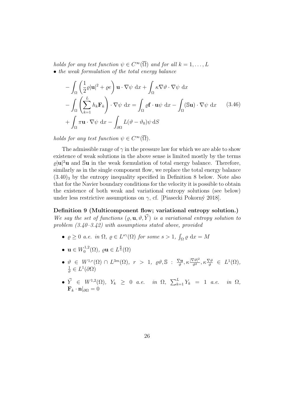*holds for any test function*  $\psi \in C^{\infty}(\overline{\Omega})$  *and for all*  $k = 1, \ldots, L$ *• the weak formulation of the total energy balance*

$$
- \int_{\Omega} \left( \frac{1}{2} \varrho |\mathbf{u}|^2 + \varrho e \right) \mathbf{u} \cdot \nabla \psi \, dx + \int_{\Omega} \kappa \nabla \vartheta \cdot \nabla \psi \, dx - \int_{\Omega} \left( \sum_{k=1}^{L} h_k \mathbf{F}_k \right) \cdot \nabla \psi \, dx = \int_{\Omega} \varrho \mathbf{f} \cdot \mathbf{u} \psi \, dx - \int_{\Omega} (\mathbf{S} \mathbf{u}) \cdot \nabla \psi \, dx \qquad (3.46) + \int_{\Omega} \pi \mathbf{u} \cdot \nabla \psi \, dx - \int_{\partial \Omega} L(\vartheta - \vartheta_0) \psi \, dS
$$

*holds for any test function*  $\psi \in C^{\infty}(\overline{\Omega})$ *.* 

The admissible range of  $\gamma$  in the pressure law for which we are able to show existence of weak solutions in the above sense is limited mostly by the terms  $\varrho |u|^2 u$  and Su in the weak formulation of total energy balance. Therefore, similarly as in the single component flow, we replace the total energy balance  $(3.40)$ <sub>3</sub> by the entropy inequality specified in Definition 8 below. Note also that for the Navier boundary conditions for the velocity it is possible to obtain the existence of both weak and variational entropy solutions (see below) under less restrictive assumptions on  $\gamma$ , cf. [Piasecki Pokorný 2018].

#### **Definition 9 (Multicomponent flow; variational entropy solution.)**

*We say the set of functions*  $(\rho, \mathbf{u}, \vartheta, \vec{Y})$  *is a variational entropy solution to problem (3.40–3.42) with assumptions stated above, provided*

- $\bullet$   $\varrho$  ≥ 0 *a.e. in* Ω,  $\varrho$  ∈ *L*<sup>*s*γ</sup>(Ω) *for some s* > 1,  $\int_{\Omega} \varrho dx = M$
- $\mathbf{u} \in W_0^{1,2}$  $\ell_0^{1,2}(\Omega)$ ,  $\varrho \mathbf{u} \in L^{\frac{6}{5}}(\Omega)$
- $\bullet$  *θ*  $\in$  *W*<sup>1*,r*</sup>(Ω) ∩ *L*<sup>3*m*</sup>(Ω)*, r* > 1*,*  $\varrho$ *θ*, *S* :  $\frac{\nabla \mathbf{u}}{\vartheta}$  $\frac{\nabla \mathbf{u}}{\vartheta}, \kappa \frac{|\nabla \vartheta|^2}{\vartheta^2}$  $\frac{\nabla \vartheta |^2}{\vartheta^2}, \kappa \frac{\nabla \vartheta}{\vartheta} \in L^1(\Omega),$ 1  $\frac{1}{\vartheta} \in L^1(\partial\Omega)$
- $\bullet$   $\vec{Y}$   $\in$   $W^{1,2}(\Omega)$ ,  $Y_k$   $\geq$  0 *a.e. in*  $\Omega$ ,  $\sum_{k=1}^{L} Y_k$  = 1 *a.e. in*  $\Omega$ ,  $\mathbf{F}_k \cdot \mathbf{n}|_{\partial \Omega} = 0$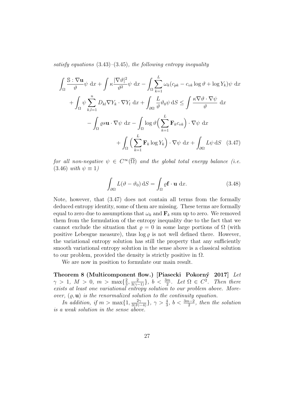*satisfy equations* (3.43)*–*(3.45)*, the following entropy inequality*

$$
\int_{\Omega} \frac{\mathbb{S} : \nabla \mathbf{u}}{\vartheta} \psi \, dx + \int \kappa \frac{|\nabla \vartheta|^2}{\vartheta^2} \psi \, dx - \int_{\Omega} \sum_{k=1}^{L} \omega_k (c_{pk} - c_{vk} \log \vartheta + \log Y_k) \psi \, dx
$$

$$
+ \int_{\Omega} \psi \sum_{k,l=1}^{n} D_{kl} \nabla Y_k \cdot \nabla Y_l \, dx + \int_{\partial \Omega} \frac{L}{\vartheta} \vartheta_0 \psi \, dS \le \int \frac{\kappa \nabla \vartheta \cdot \nabla \psi}{\vartheta} \, dx
$$

$$
- \int_{\Omega} \varrho s \mathbf{u} \cdot \nabla \psi \, dx - \int_{\Omega} \log \vartheta \Big( \sum_{k=1}^{L} \mathbf{F}_k c_{vk} \Big) \cdot \nabla \psi \, dx
$$

$$
+ \int_{\Omega} \Big( \sum_{k=1}^{L} \mathbf{F}_k \log Y_k \Big) \cdot \nabla \psi \, dx + \int_{\partial \Omega} L \psi \, dS \quad (3.47)
$$

*for all non-negative*  $\psi \in C^{\infty}(\overline{\Omega})$  *and the global total energy balance (i.e.*  $(3.46)$  *with*  $\psi \equiv 1$ 

$$
\int_{\partial\Omega} L(\vartheta - \vartheta_0) \, dS = \int_{\Omega} \varrho \mathbf{f} \cdot \mathbf{u} \, dx.
$$
 (3.48)

Note, however, that (3.47) does not contain all terms from the formally deduced entropy identity, some of them are missing. These terms are formally equal to zero due to assumptions that  $\omega_k$  and  $\mathbf{F}_k$  sum up to zero. We removed them from the formulation of the entropy inequality due to the fact that we cannot exclude the situation that  $\rho = 0$  in some large portions of  $\Omega$  (with positive Lebesgue measure), thus  $\log \rho$  is not well defined there. However, the variational entropy solution has still the property that any sufficiently smooth variational entropy solution in the sense above is a classical solution to our problem, provided the density is strictly positive in  $\Omega$ .

We are now in position to formulate our main result.

**Theorem 8 (Multicomponent flow.) [Piasecki Pokorný 2017]** *Let*  $\gamma > 1, M > 0, m > \max\{\frac{2}{3}\}$  $\frac{2}{3}, \frac{2}{3(\gamma - 1)}\}, b < \frac{3m}{2}$ *. Let*  $\Omega \in C^2$ *. Then there exists at least one variational entropy solution to our problem above. Moreover,* (*ϱ,* **u**) *is the renormalized solution to the continuity equation.*

*In addition, if*  $m > \max\{1, \frac{2\gamma}{3(3\gamma-4)}\}$ ,  $\gamma > \frac{4}{3}$ ,  $b < \frac{3m-2}{2}$ , then the solution *is a weak solution in the sense above.*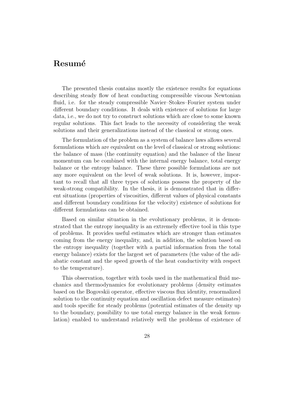# **Resum´e**

The presented thesis contains mostly the existence results for equations describing steady flow of heat conducting compressible viscous Newtonian fluid, i.e. for the steady compressible Navier–Stokes–Fourier system under different boundary conditions. It deals with existence of solutions for large data, i.e., we do not try to construct solutions which are close to some known regular solutions. This fact leads to the necessity of considering the weak solutions and their generalizations instead of the classical or strong ones.

The formulation of the problem as a system of balance laws allows several formulations which are equivalent on the level of classical or strong solutions: the balance of mass (the continuity equation) and the balance of the linear momentum can be combined with the internal energy balance, total energy balance or the entropy balance. These three possible formulations are not any more equivalent on the level of weak solutions. It is, however, important to recall that all three types of solutions possess the property of the weak-strong compatibility. In the thesis, it is demonstrated that in different situations (properties of viscosities, different values of physical constants and different boundary conditions for the velocity) existence of solutions for different formulations can be obtained.

Based on similar situation in the evolutionary problems, it is demonstrated that the entropy inequality is an extremely effective tool in this type of problems. It provides useful estimates which are stronger than estimates coming from the energy inequality, and, in addition, the solution based on the entropy inequality (together with a partial information from the total energy balance) exists for the largest set of parameters (the value of the adiabatic constant and the speed growth of the heat conductivity with respect to the temperature).

This observation, together with tools used in the mathematical fluid mechanics and thermodynamics for evolutionary problems (density estimates based on the Bogovskii operator, effective viscous flux identity, renormalized solution to the continuity equation and oscillation defect measure estimates) and tools specific for steady problems (potential estimates of the density up to the boundary, possibility to use total energy balance in the weak formulation) enabled to understand relatively well the problems of existence of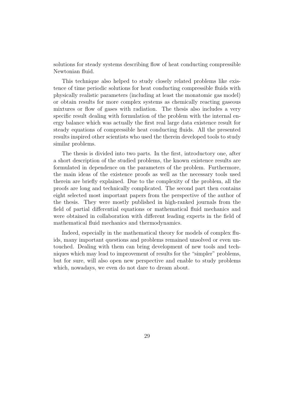solutions for steady systems describing flow of heat conducting compressible Newtonian fluid.

This technique also helped to study closely related problems like existence of time periodic solutions for heat conducting compressible fluids with physically realistic parameters (including at least the monatomic gas model) or obtain results for more complex systems as chemically reacting gaseous mixtures or flow of gases with radiation. The thesis also includes a very specific result dealing with formulation of the problem with the internal energy balance which was actually the first real large data existence result for steady equations of compressible heat conducting fluids. All the presented results inspired other scientists who used the therein developed tools to study similar problems.

The thesis is divided into two parts. In the first, introductory one, after a short description of the studied problems, the known existence results are formulated in dependence on the parameters of the problem. Furthermore, the main ideas of the existence proofs as well as the necessary tools used therein are briefly explained. Due to the complexity of the problem, all the proofs are long and technically complicated. The second part then contains eight selected most important papers from the perspective of the author of the thesis. They were mostly published in high-ranked journals from the field of partial differential equations or mathematical fluid mechanics and were obtained in collaboration with different leading experts in the field of mathematical fluid mechanics and thermodynamics.

Indeed, especially in the mathematical theory for models of complex fluids, many important questions and problems remained unsolved or even untouched. Dealing with them can bring development of new tools and techniques which may lead to improvement of results for the "simpler" problems, but for sure, will also open new perspective and enable to study problems which, nowadays, we even do not dare to dream about.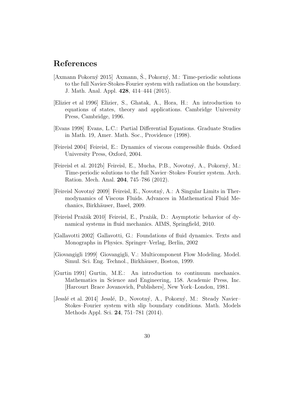# **References**

- [Axmann Pokorný 2015] Axmann, Š., Pokorný, M.: Time-periodic solutions to the full Navier-Stokes-Fourier system with radiation on the boundary. J. Math. Anal. Appl. **428**, 414–444 (2015).
- [Elizier et al 1996] Elizier, S., Ghatak, A., Hora, H.: An introduction to equations of states, theory and applications. Cambridge University Press, Cambridge, 1996.
- [Evans 1998] Evans, L.C.: Partial Differential Equations. Graduate Studies in Math. 19, Amer. Math. Soc., Providence (1998).
- [Feireisl 2004] Feireisl, E.: Dynamics of viscous compressible fluids. Oxford University Press, Oxford, 2004.
- [Feireisl et al. 2012b] Feireisl, E., Mucha, P.B., Novotný, A., Pokorný, M.: Time-periodic solutions to the full Navier–Stokes–Fourier system. Arch. Ration. Mech. Anal. **204**, 745–786 (2012).
- [Feireisl Novotn´y 2009] Feireisl, E., Novotn´y, A.: A Singular Limits in Thermodynamics of Viscous Fluids. Advances in Mathematical Fluid Mechanics, Birkhäuser, Basel, 2009.
- [Feireisl Praˇz´ak 2010] Feireisl, E., Praˇz´ak, D.: Asymptotic behavior of dynamical systems in fluid mechanics. AIMS, Springfield, 2010.
- [Gallavotti 2002] Gallavotti, G.: Foundations of fluid dynamics. Texts and Monographs in Physics. Springer–Verlag, Berlin, 2002
- [Giovangigli 1999] Giovangigli, V.: Multicomponent Flow Modeling. Model. Simul. Sci. Eng. Technol., Birkhäuser, Boston, 1999.
- [Gurtin 1991] Gurtin, M.E.: An introduction to continuum mechanics. Mathematics in Science and Engineering, 158. Academic Press, Inc. [Harcourt Brace Jovanovich, Publishers], New York–London, 1981.
- [Jesslé et al. 2014] Jesslé, D., Novotný, A., Pokorný, M.: Steady Navier– Stokes–Fourier system with slip boundary conditions. Math. Models Methods Appl. Sci. **24**, 751–781 (2014).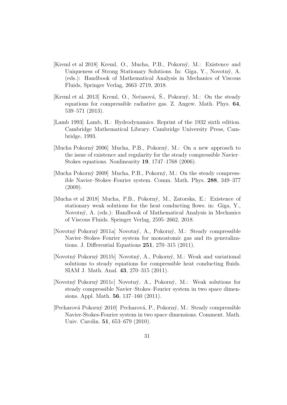- [Kreml et al 2018] Kreml, O., Mucha, P.B., Pokorn´y, M.: Existence and Uniqueness of Strong Stationary Solutions. In: Giga, Y., Novotný, A. (eds.): Handbook of Mathematical Analysis in Mechanics of Viscous Fluids, Springer Verlag, 2663–2719, 2018.
- [Kreml et al. 2013] Kreml, O., Nečasová, S., Pokorný, M.: On the steady equations for compressible radiative gas. Z. Angew. Math. Phys. **64**, 539–571 (2013).
- [Lamb 1993] Lamb, H.: Hydrodynamics. Reprint of the 1932 sixth edition. Cambridge Mathematical Library. Cambridge University Press, Cambridge, 1993.
- [Mucha Pokorný 2006] Mucha, P.B., Pokorný, M.: On a new approach to the issue of existence and regularity for the steady compressible Navier– Stokes equations. Nonlinearity **19**, 1747–1768 (2006).
- [Mucha Pokorný 2009] Mucha, P.B., Pokorný, M.: On the steady compressible Navier–Stokes–Fourier system. Comm. Math. Phys. **288**, 349–377 (2009).
- [Mucha et al 2018] Mucha, P.B., Pokorný, M., Zatorska, E.: Existence of stationary weak solutions for the heat conducting flows. in: Giga, Y., Novotn´y, A. (eds.): Handbook of Mathematical Analysis in Mechanics of Viscous Fluids. Springer Verlag, 2595–2662, 2018.
- [Novotn´y Pokorn´y 2011a] Novotn´y, A., Pokorn´y, M.: Steady compressible Navier–Stokes–Fourier system for monoatomic gas and its generalizations. J. Differential Equations **251**, 270–315 (2011).
- [Novotný Pokorný 2011b] Novotný, A., Pokorný, M.: Weak and variational solutions to steady equations for compressible heat conducting fluids. SIAM J. Math. Anal. **43**, 270–315 (2011).
- [Novotn´y Pokorn´y 2011c] Novotn´y, A., Pokorn´y, M.: Weak solutions for steady compressible Navier–Stokes–Fourier system in two space dimensions. Appl. Math. **56**, 137–160 (2011).
- [Pecharová Pokorný 2010] Pecharová, P., Pokorný, M.: Steady compressible Navier-Stokes-Fourier system in two space dimensions. Comment. Math. Univ. Carolin. **51**, 653–679 (2010).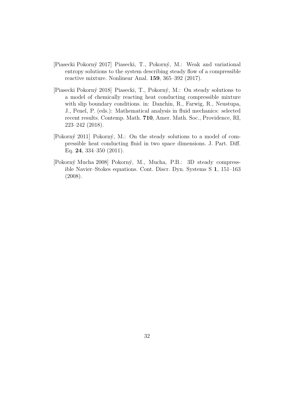- [Piasecki Pokorn´y 2017] Piasecki, T., Pokorn´y, M.: Weak and variational entropy solutions to the system describing steady flow of a compressible reactive mixture. Nonlinear Anal. **159**, 365–392 (2017).
- [Piasecki Pokorn´y 2018] Piasecki, T., Pokorn´y, M.: On steady solutions to a model of chemically reacting heat conducting compressible mixture with slip boundary conditions. in: Danchin, R., Farwig, R., Neustupa, J., Penel, P. (eds.): Mathematical analysis in fluid mechanics: selected recent results. Contemp. Math. **710**, Amer. Math. Soc., Providence, RI, 223–242 (2018).
- [Pokorný 2011] Pokorný, M.: On the steady solutions to a model of compressible heat conducting fluid in two space dimensions. J. Part. Diff. Eq. **24**, 334–350 (2011).
- [Pokorn´y Mucha 2008] Pokorn´y, M., Mucha, P.B.: 3D steady compressible Navier–Stokes equations. Cont. Discr. Dyn. Systems S **1**, 151–163 (2008).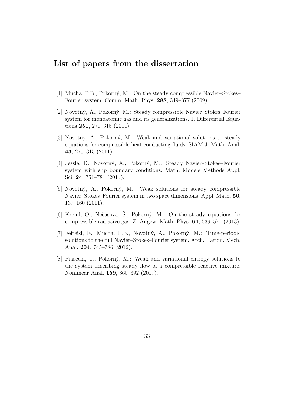## **List of papers from the dissertation**

- [1] Mucha, P.B., Pokorný, M.: On the steady compressible Navier–Stokes– Fourier system. Comm. Math. Phys. **288**, 349–377 (2009).
- [2] Novotný, A., Pokorný, M.: Steady compressible Navier–Stokes–Fourier system for monoatomic gas and its generalizations. J. Differential Equations **251**, 270–315 (2011).
- [3] Novotný, A., Pokorný, M.: Weak and variational solutions to steady equations for compressible heat conducting fluids. SIAM J. Math. Anal. **43**, 270–315 (2011).
- [4] Jessl´e, D., Novotn´y, A., Pokorn´y, M.: Steady Navier–Stokes–Fourier system with slip boundary conditions. Math. Models Methods Appl. Sci. **24**, 751–781 (2014).
- [5] Novotný, A., Pokorný, M.: Weak solutions for steady compressible Navier–Stokes–Fourier system in two space dimensions. Appl. Math. **56**, 137–160 (2011).
- [6] Kreml, O., Nečasová, Š., Pokorný, M.: On the steady equations for compressible radiative gas. Z. Angew. Math. Phys. **64**, 539–571 (2013).
- [7] Feireisl, E., Mucha, P.B., Novotn´y, A., Pokorn´y, M.: Time-periodic solutions to the full Navier–Stokes–Fourier system. Arch. Ration. Mech. Anal. **204**, 745–786 (2012).
- [8] Piasecki, T., Pokorn´y, M.: Weak and variational entropy solutions to the system describing steady flow of a compressible reactive mixture. Nonlinear Anal. **159**, 365–392 (2017).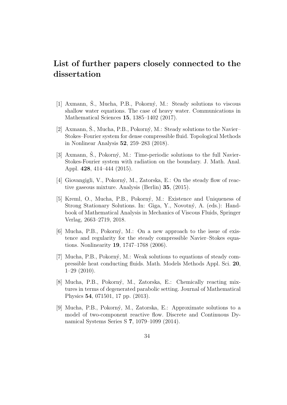# **List of further papers closely connected to the dissertation**

- [1] Axmann, Š., Mucha, P.B., Pokorný, M.: Steady solutions to viscous shallow water equations. The case of heavy water. Communications in Mathematical Sciences **15**, 1385–1402 (2017).
- [2] Axmann, Š., Mucha, P.B., Pokorný, M.: Steady solutions to the Navier– Stokes–Fourier system for dense compressible fluid. Topological Methods in Nonlinear Analysis **52**, 259–283 (2018).
- [3] Axmann, Š., Pokorný, M.: Time-periodic solutions to the full Navier-Stokes-Fourier system with radiation on the boundary. J. Math. Anal. Appl. **428**, 414–444 (2015).
- [4] Giovangigli, V., Pokorný, M., Zatorska, E.: On the steady flow of reactive gaseous mixture. Analysis (Berlin) **35**, (2015).
- [5] Kreml, O., Mucha, P.B., Pokorný, M.: Existence and Uniqueness of Strong Stationary Solutions. In: Giga, Y., Novotný, A. (eds.): Handbook of Mathematical Analysis in Mechanics of Viscous Fluids, Springer Verlag, 2663–2719, 2018.
- [6] Mucha, P.B., Pokorn´y, M.: On a new approach to the issue of existence and regularity for the steady compressible Navier–Stokes equations. Nonlinearity **19**, 1747–1768 (2006).
- [7] Mucha, P.B., Pokorn´y, M.: Weak solutions to equations of steady compressible heat conducting fluids. Math. Models Methods Appl. Sci. **20**, 1–29 (2010).
- [8] Mucha, P.B., Pokorný, M., Zatorska, E.: Chemically reacting mixtures in terms of degenerated parabolic setting. Journal of Mathematical Physics **54**, 071501, 17 pp. (2013).
- [9] Mucha, P.B., Pokorný, M., Zatorska, E.: Approximate solutions to a model of two-component reactive flow. Discrete and Continuous Dynamical Systems Series S **7**, 1079–1099 (2014).